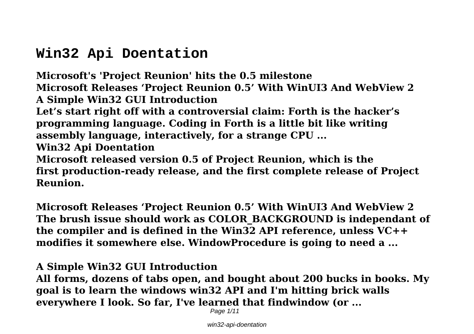# **Win32 Api Doentation**

**Microsoft's 'Project Reunion' hits the 0.5 milestone Microsoft Releases 'Project Reunion 0.5' With WinUI3 And WebView 2 A Simple Win32 GUI Introduction Let's start right off with a controversial claim: Forth is the hacker's programming language. Coding in Forth is a little bit like writing assembly language, interactively, for a strange CPU ... Win32 Api Doentation Microsoft released version 0.5 of Project Reunion, which is the first production-ready release, and the first complete release of Project Reunion.**

**Microsoft Releases 'Project Reunion 0.5' With WinUI3 And WebView 2 The brush issue should work as COLOR\_BACKGROUND is independant of the compiler and is defined in the Win32 API reference, unless VC++ modifies it somewhere else. WindowProcedure is going to need a ...**

#### **A Simple Win32 GUI Introduction**

**All forms, dozens of tabs open, and bought about 200 bucks in books. My goal is to learn the windows win32 API and I'm hitting brick walls everywhere I look. So far, I've learned that findwindow (or ...**

Page 1/11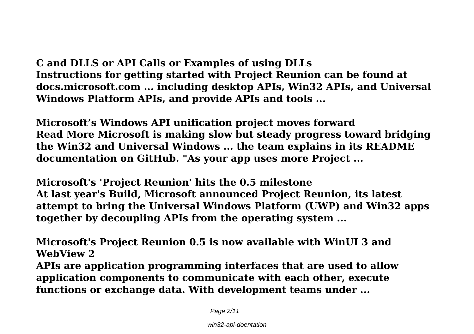**C and DLLS or API Calls or Examples of using DLLs Instructions for getting started with Project Reunion can be found at docs.microsoft.com ... including desktop APIs, Win32 APIs, and Universal Windows Platform APIs, and provide APIs and tools ...**

**Microsoft's Windows API unification project moves forward Read More Microsoft is making slow but steady progress toward bridging the Win32 and Universal Windows ... the team explains in its README documentation on GitHub. "As your app uses more Project ...**

**Microsoft's 'Project Reunion' hits the 0.5 milestone At last year's Build, Microsoft announced Project Reunion, its latest attempt to bring the Universal Windows Platform (UWP) and Win32 apps together by decoupling APIs from the operating system ...**

**Microsoft's Project Reunion 0.5 is now available with WinUI 3 and WebView 2 APIs are application programming interfaces that are used to allow application components to communicate with each other, execute functions or exchange data. With development teams under ...**

Page 2/11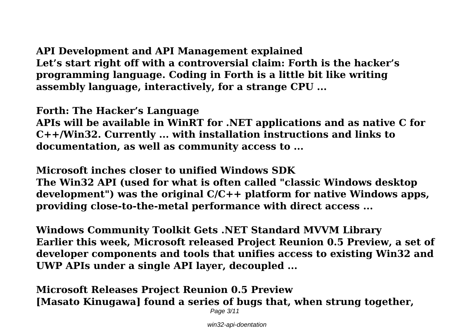### **API Development and API Management explained Let's start right off with a controversial claim: Forth is the hacker's programming language. Coding in Forth is a little bit like writing assembly language, interactively, for a strange CPU ...**

**Forth: The Hacker's Language**

**APIs will be available in WinRT for .NET applications and as native C for C++/Win32. Currently ... with installation instructions and links to documentation, as well as community access to ...**

**Microsoft inches closer to unified Windows SDK The Win32 API (used for what is often called "classic Windows desktop**

**development") was the original C/C++ platform for native Windows apps, providing close-to-the-metal performance with direct access ...**

**Windows Community Toolkit Gets .NET Standard MVVM Library Earlier this week, Microsoft released Project Reunion 0.5 Preview, a set of developer components and tools that unifies access to existing Win32 and UWP APIs under a single API layer, decoupled ...**

**Microsoft Releases Project Reunion 0.5 Preview [Masato Kinugawa] found a series of bugs that, when strung together,**

Page 3/11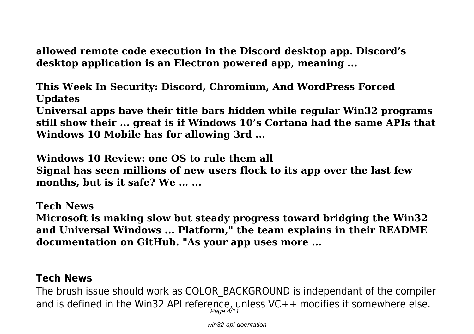**allowed remote code execution in the Discord desktop app. Discord's desktop application is an Electron powered app, meaning ...**

**This Week In Security: Discord, Chromium, And WordPress Forced Updates**

**Universal apps have their title bars hidden while regular Win32 programs still show their ... great is if Windows 10's Cortana had the same APIs that Windows 10 Mobile has for allowing 3rd ...**

**Windows 10 Review: one OS to rule them all Signal has seen millions of new users flock to its app over the last few months, but is it safe? We … ...**

**Tech News Microsoft is making slow but steady progress toward bridging the Win32 and Universal Windows ... Platform," the team explains in their README documentation on GitHub. "As your app uses more ...**

#### **Tech News**

The brush issue should work as COLOR\_BACKGROUND is independant of the compiler and is defined in the Win32 API reference, unless VC++ modifies it somewhere else.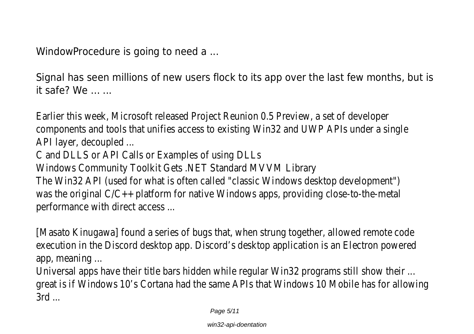WindowProcedure is going to need a ...

Signal has seen millions of new users flock to its app over the last few months, but is it safe? We  $\ldots$ 

Earlier this week, Microsoft released Project Reunion 0.5 Preview, a set of developer components and tools that unifies access to existing Win32 and UWP APIs under a single API layer, decoupled ...

C and DLLS or API Calls or Examples of using DLLs

Windows Community Toolkit Gets .NET Standard MVVM Library

The Win32 API (used for what is often called "classic Windows desktop development") was the original C/C++ platform for native Windows apps, providing close-to-the-metal performance with direct access ...

[Masato Kinugawa] found a series of bugs that, when strung together, allowed remote code execution in the Discord desktop app. Discord's desktop application is an Electron powered app, meaning ...

Universal apps have their title bars hidden while regular Win32 programs still show their ... great is if Windows 10's Cortana had the same APIs that Windows 10 Mobile has for allowing 3rd ...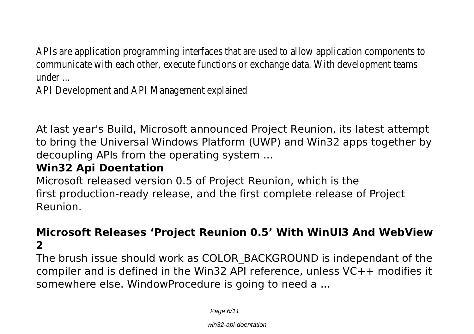APIs are application programming interfaces that are used to allow application components to communicate with each other, execute functions or exchange data. With development teams under ...

API Development and API Management explained

At last year's Build, Microsoft announced Project Reunion, its latest attempt to bring the Universal Windows Platform (UWP) and Win32 apps together by decoupling APIs from the operating system ...

## **Win32 Api Doentation**

Microsoft released version 0.5 of Project Reunion, which is the first production-ready release, and the first complete release of Project Reunion.

## **Microsoft Releases 'Project Reunion 0.5' With WinUI3 And WebView 2**

The brush issue should work as COLOR\_BACKGROUND is independant of the compiler and is defined in the Win32 API reference, unless VC++ modifies it somewhere else. WindowProcedure is going to need a ...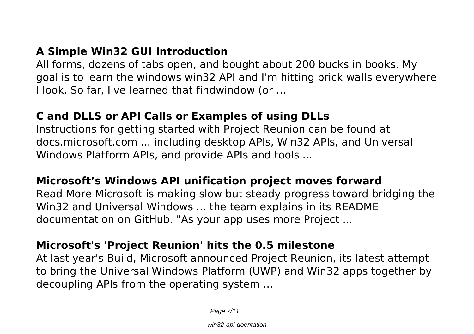## **A Simple Win32 GUI Introduction**

All forms, dozens of tabs open, and bought about 200 bucks in books. My goal is to learn the windows win32 API and I'm hitting brick walls everywhere I look. So far, I've learned that findwindow (or ...

### **C and DLLS or API Calls or Examples of using DLLs**

Instructions for getting started with Project Reunion can be found at docs.microsoft.com ... including desktop APIs, Win32 APIs, and Universal Windows Platform APIs, and provide APIs and tools ...

### **Microsoft's Windows API unification project moves forward**

Read More Microsoft is making slow but steady progress toward bridging the Win32 and Universal Windows ... the team explains in its README documentation on GitHub. "As your app uses more Project ...

### **Microsoft's 'Project Reunion' hits the 0.5 milestone**

At last year's Build, Microsoft announced Project Reunion, its latest attempt to bring the Universal Windows Platform (UWP) and Win32 apps together by decoupling APIs from the operating system ...

Page 7/11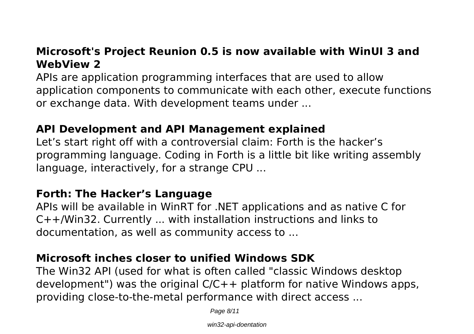## **Microsoft's Project Reunion 0.5 is now available with WinUI 3 and WebView 2**

APIs are application programming interfaces that are used to allow application components to communicate with each other, execute functions or exchange data. With development teams under ...

### **API Development and API Management explained**

Let's start right off with a controversial claim: Forth is the hacker's programming language. Coding in Forth is a little bit like writing assembly language, interactively, for a strange CPU ...

### **Forth: The Hacker's Language**

APIs will be available in WinRT for .NET applications and as native C for C++/Win32. Currently ... with installation instructions and links to documentation, as well as community access to ...

## **Microsoft inches closer to unified Windows SDK**

The Win32 API (used for what is often called "classic Windows desktop development") was the original  $C/C++$  platform for native Windows apps, providing close-to-the-metal performance with direct access ...

Page 8/11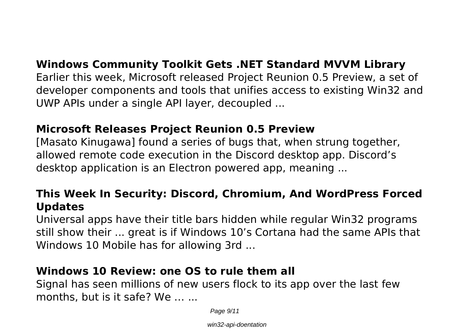### **Windows Community Toolkit Gets .NET Standard MVVM Library**

Earlier this week, Microsoft released Project Reunion 0.5 Preview, a set of developer components and tools that unifies access to existing Win32 and UWP APIs under a single API layer, decoupled ...

#### **Microsoft Releases Project Reunion 0.5 Preview**

[Masato Kinugawa] found a series of bugs that, when strung together, allowed remote code execution in the Discord desktop app. Discord's desktop application is an Electron powered app, meaning ...

### **This Week In Security: Discord, Chromium, And WordPress Forced Updates**

Universal apps have their title bars hidden while regular Win32 programs still show their ... great is if Windows 10's Cortana had the same APIs that Windows 10 Mobile has for allowing 3rd ...

### **Windows 10 Review: one OS to rule them all**

Signal has seen millions of new users flock to its app over the last few months, but is it safe? We … ...

Page 9/11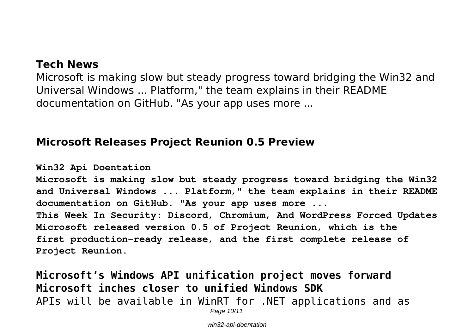#### **Tech News**

Microsoft is making slow but steady progress toward bridging the Win32 and Universal Windows ... Platform," the team explains in their README documentation on GitHub. "As your app uses more ...

#### **Microsoft Releases Project Reunion 0.5 Preview**

**Win32 Api Doentation**

**Microsoft is making slow but steady progress toward bridging the Win32 and Universal Windows ... Platform," the team explains in their README documentation on GitHub. "As your app uses more ... This Week In Security: Discord, Chromium, And WordPress Forced Updates Microsoft released version 0.5 of Project Reunion, which is the**

**first production-ready release, and the first complete release of Project Reunion.**

**Microsoft's Windows API unification project moves forward Microsoft inches closer to unified Windows SDK** APIs will be available in WinRT for .NET applications and as

Page 10/11